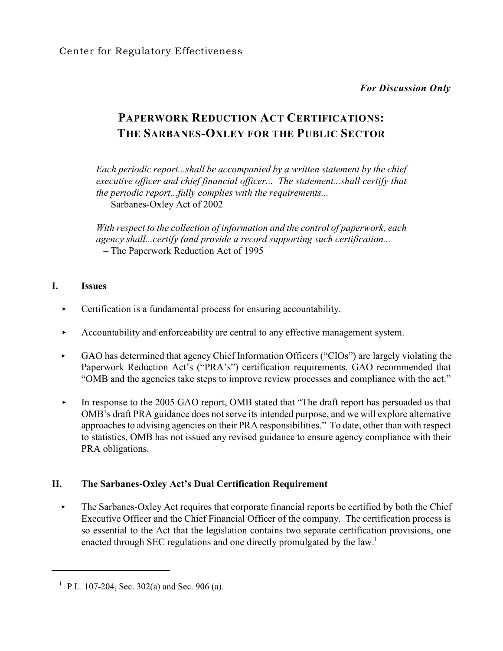*For Discussion Only*

# **PAPERWORK REDUCTION ACT CERTIFICATIONS: THE SARBANES-OXLEY FOR THE PUBLIC SECTOR**

*Each periodic report...shall be accompanied by a written statement by the chief executive officer and chief financial officer... The statement...shall certify that the periodic report...fully complies with the requirements...* – Sarbanes-Oxley Act of 2002

*With respect to the collection of information and the control of paperwork, each agency shall...certify (and provide a record supporting such certification...* – The Paperwork Reduction Act of 1995

### **I. Issues**

- $\triangleright$  Certification is a fundamental process for ensuring accountability.
- Accountability and enforceability are central to any effective management system.
- $\blacktriangleright$  GAO has determined that agency Chief Information Officers ("CIOs") are largely violating the Paperwork Reduction Act's ("PRA's") certification requirements. GAO recommended that "OMB and the agencies take steps to improve review processes and compliance with the act."
- In response to the 2005 GAO report, OMB stated that "The draft report has persuaded us that OMB's draft PRA guidance does not serve its intended purpose, and we will explore alternative approaches to advising agencies on their PRA responsibilities." To date, other than with respect to statistics, OMB has not issued any revised guidance to ensure agency compliance with their PRA obligations.

# **II. The Sarbanes-Oxley Act's Dual Certification Requirement**

 $\triangleright$  The Sarbanes-Oxley Act requires that corporate financial reports be certified by both the Chief Executive Officer and the Chief Financial Officer of the company. The certification process is so essential to the Act that the legislation contains two separate certification provisions, one enacted through SEC regulations and one directly promulgated by the law.<sup>1</sup>

<sup>&</sup>lt;sup>1</sup> P.L. 107-204, Sec. 302(a) and Sec. 906 (a).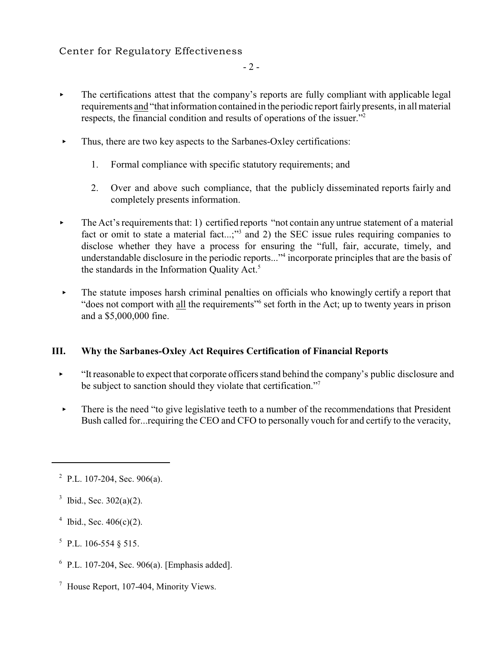# Center for Regulatory Effectiveness

- The certifications attest that the company's reports are fully compliant with applicable legal requirements and "that information contained in the periodic report fairlypresents, in all material respects, the financial condition and results of operations of the issuer."<sup>2</sup>
- $\blacktriangleright$  Thus, there are two key aspects to the Sarbanes-Oxley certifications:
	- 1. Formal compliance with specific statutory requirements; and
	- 2. Over and above such compliance, that the publicly disseminated reports fairly and completely presents information.
- $\triangleright$  The Act's requirements that: 1) certified reports "not contain any untrue statement of a material fact or omit to state a material fact...;"<sup>3</sup> and 2) the SEC issue rules requiring companies to disclose whether they have a process for ensuring the "full, fair, accurate, timely, and understandable disclosure in the periodic reports..."<sup>4</sup> incorporate principles that are the basis of the standards in the Information Quality Act.<sup>5</sup>
- $\triangleright$  The statute imposes harsh criminal penalties on officials who knowingly certify a report that "does not comport with all the requirements" set forth in the Act; up to twenty years in prison and a \$5,000,000 fine.

### **III. Why the Sarbanes-Oxley Act Requires Certification of Financial Reports**

- < "It reasonable to expect that corporate officers stand behind the company's public disclosure and be subject to sanction should they violate that certification."<sup>7</sup>
- $\blacktriangleright$  There is the need "to give legislative teeth to a number of the recommendations that President Bush called for...requiring the CEO and CFO to personally vouch for and certify to the veracity,

- <sup>4</sup> Ibid., Sec.  $406(c)(2)$ .
- $5$  P.L. 106-554 § 515.
- $6$  P.L. 107-204, Sec. 906(a). [Emphasis added].
- $^7$  House Report, 107-404, Minority Views.

 $2$  P.L. 107-204, Sec. 906(a).

 $3$  Ibid., Sec. 302(a)(2).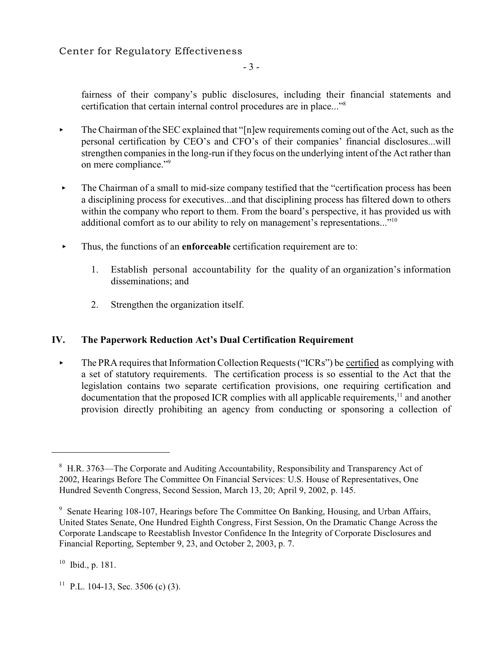- 3 -

fairness of their company's public disclosures, including their financial statements and certification that certain internal control procedures are in place..."<sup>8</sup>

- $\triangleright$  The Chairman of the SEC explained that "[n]ew requirements coming out of the Act, such as the personal certification by CEO's and CFO's of their companies' financial disclosures...will strengthen companies in the long-run if they focus on the underlying intent of the Act rather than on mere compliance."<sup>9</sup>
- $\blacktriangleright$  The Chairman of a small to mid-size company testified that the "certification process has been a disciplining process for executives...and that disciplining process has filtered down to others within the company who report to them. From the board's perspective, it has provided us with additional comfort as to our ability to rely on management's representations..."<sup>10</sup>
- < Thus, the functions of an **enforceable** certification requirement are to:
	- 1. Establish personal accountability for the quality of an organization's information disseminations; and
	- 2. Strengthen the organization itself.

### **IV. The Paperwork Reduction Act's Dual Certification Requirement**

 $\triangleright$  The PRA requires that Information Collection Requests ("ICRs") be certified as complying with a set of statutory requirements. The certification process is so essential to the Act that the legislation contains two separate certification provisions, one requiring certification and documentation that the proposed ICR complies with all applicable requirements,<sup>11</sup> and another provision directly prohibiting an agency from conducting or sponsoring a collection of

 $10$  Ibid., p. 181.

<sup>11</sup> P.L. 104-13, Sec. 3506 (c) (3).

<sup>&</sup>lt;sup>8</sup> H.R. 3763—The Corporate and Auditing Accountability, Responsibility and Transparency Act of 2002, Hearings Before The Committee On Financial Services: U.S. House of Representatives, One Hundred Seventh Congress, Second Session, March 13, 20; April 9, 2002, p. 145.

<sup>&</sup>lt;sup>9</sup> Senate Hearing 108-107, Hearings before The Committee On Banking, Housing, and Urban Affairs, United States Senate, One Hundred Eighth Congress, First Session, On the Dramatic Change Across the Corporate Landscape to Reestablish Investor Confidence In the Integrity of Corporate Disclosures and Financial Reporting, September 9, 23, and October 2, 2003, p. 7.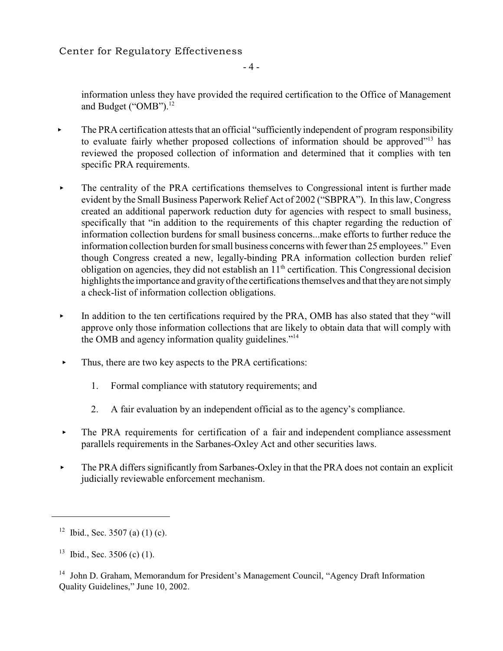Center for Regulatory Effectiveness

- 4 -

information unless they have provided the required certification to the Office of Management and Budget ("OMB").<sup>12</sup>

- The PRA certification attests that an official "sufficiently independent of program responsibility to evaluate fairly whether proposed collections of information should be approved"<sup>13</sup> has reviewed the proposed collection of information and determined that it complies with ten specific PRA requirements.
- $\blacktriangleright$  The centrality of the PRA certifications themselves to Congressional intent is further made evident by the Small Business Paperwork Relief Act of 2002 ("SBPRA"). In this law, Congress created an additional paperwork reduction duty for agencies with respect to small business, specifically that "in addition to the requirements of this chapter regarding the reduction of information collection burdens for small business concerns...make efforts to further reduce the information collection burden for small business concerns with fewer than 25 employees." Even though Congress created a new, legally-binding PRA information collection burden relief obligation on agencies, they did not establish an  $11<sup>th</sup>$  certification. This Congressional decision highlights the importance and gravity of the certifications themselves and that they are not simply a check-list of information collection obligations.
- In addition to the ten certifications required by the PRA, OMB has also stated that they "will approve only those information collections that are likely to obtain data that will comply with the OMB and agency information quality guidelines."<sup>14</sup>
- $\blacktriangleright$  Thus, there are two key aspects to the PRA certifications:
	- 1. Formal compliance with statutory requirements; and
	- 2. A fair evaluation by an independent official as to the agency's compliance.
- $\triangleright$  The PRA requirements for certification of a fair and independent compliance assessment parallels requirements in the Sarbanes-Oxley Act and other securities laws.
- The PRA differs significantly from Sarbanes-Oxley in that the PRA does not contain an explicit judicially reviewable enforcement mechanism.

<sup>&</sup>lt;sup>12</sup> Ibid., Sec. 3507 (a) (1) (c).

 $13$  Ibid., Sec. 3506 (c) (1).

 $14$  John D. Graham, Memorandum for President's Management Council, "Agency Draft Information Quality Guidelines," June 10, 2002.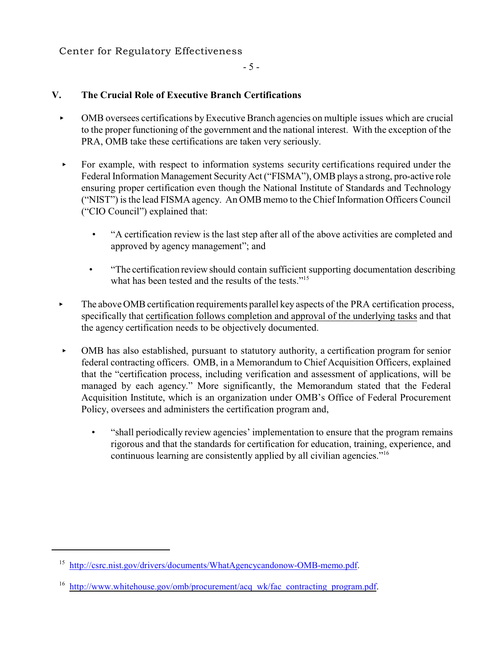#### - 5 -

# **V. The Crucial Role of Executive Branch Certifications**

- < OMB oversees certifications byExecutive Branch agencies on multiple issues which are crucial to the proper functioning of the government and the national interest. With the exception of the PRA, OMB take these certifications are taken very seriously.
- $\triangleright$  For example, with respect to information systems security certifications required under the Federal Information Management Security Act ("FISMA"), OMB plays a strong, pro-active role ensuring proper certification even though the National Institute of Standards and Technology ("NIST") is the lead FISMA agency. An OMB memo to the Chief Information Officers Council ("CIO Council") explained that:
	- "A certification review is the last step after all of the above activities are completed and approved by agency management"; and
	- "The certification review should contain sufficient supporting documentation describing what has been tested and the results of the tests."<sup>15</sup>
- $\blacktriangleright$  The above OMB certification requirements parallel key aspects of the PRA certification process, specifically that certification follows completion and approval of the underlying tasks and that the agency certification needs to be objectively documented.
- < OMB has also established, pursuant to statutory authority, a certification program for senior federal contracting officers. OMB, in a Memorandum to Chief Acquisition Officers, explained that the "certification process, including verification and assessment of applications, will be managed by each agency." More significantly, the Memorandum stated that the Federal Acquisition Institute, which is an organization under OMB's Office of Federal Procurement Policy, oversees and administers the certification program and,
	- "shall periodically review agencies' implementation to ensure that the program remains rigorous and that the standards for certification for education, training, experience, and continuous learning are consistently applied by all civilian agencies."16

<sup>&</sup>lt;sup>15</sup> <http://csrc.nist.gov/drivers/documents/WhatAgencycandonow-OMB-memo.pdf>.

<sup>&</sup>lt;sup>16</sup> [http://www.whitehouse.gov/omb/procurement/acq\\_wk/fac\\_contracting\\_program.pdf](http://www.whitehouse.gov/omb/procurement/acq_wk/fac_contracting_program.pdf).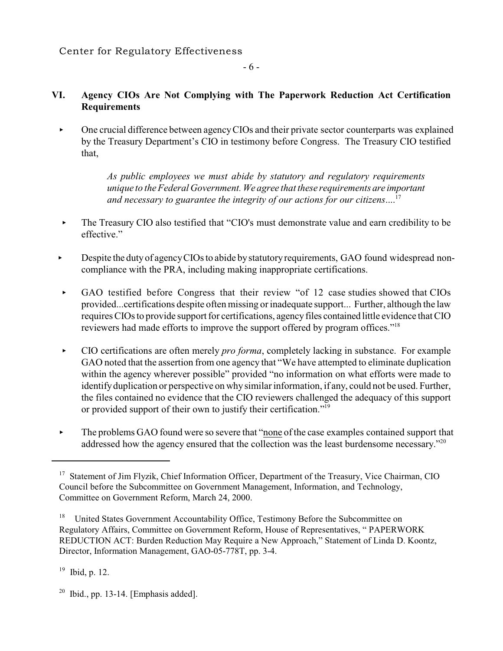# **VI. Agency CIOs Are Not Complying with The Paperwork Reduction Act Certification Requirements**

- 6 -

• One crucial difference between agency CIOs and their private sector counterparts was explained by the Treasury Department's CIO in testimony before Congress. The Treasury CIO testified that,

> *As public employees we must abide by statutory and regulatory requirements unique to the Federal Government. We agree that these requirements are important and necessary to guarantee the integrity of our actions for our citizens*.... 17

- The Treasury CIO also testified that "CIO's must demonstrate value and earn credibility to be effective."
- **Example 1** Despite the duty of agency CIOs to abide by statutory requirements, GAO found widespread noncompliance with the PRA, including making inappropriate certifications.
- < GAO testified before Congress that their review "of 12 case studies showed that CIOs provided...certifications despite often missing or inadequate support... Further, although the law requires CIOs to provide support for certifications, agency files contained little evidence that CIO reviewers had made efforts to improve the support offered by program offices."<sup>18</sup>
- < CIO certifications are often merely *pro forma*, completely lacking in substance. For example GAO noted that the assertion from one agency that "We have attempted to eliminate duplication within the agency wherever possible" provided "no information on what efforts were made to identify duplication or perspective on why similar information, if any, could not be used. Further, the files contained no evidence that the CIO reviewers challenged the adequacy of this support or provided support of their own to justify their certification."<sup>19</sup>
- **Example 5 Following GAO found were so severe that "none of the case examples contained support that** addressed how the agency ensured that the collection was the least burdensome necessary."<sup>20</sup>

 $19$  Ibid, p. 12.

 $20$  Ibid., pp. 13-14. [Emphasis added].

<sup>&</sup>lt;sup>17</sup> Statement of Jim Flyzik, Chief Information Officer, Department of the Treasury, Vice Chairman, CIO Council before the Subcommittee on Government Management, Information, and Technology, Committee on Government Reform, March 24, 2000.

<sup>&</sup>lt;sup>18</sup> United States Government Accountability Office, Testimony Before the Subcommittee on Regulatory Affairs, Committee on Government Reform, House of Representatives, " PAPERWORK REDUCTION ACT: Burden Reduction May Require a New Approach," Statement of Linda D. Koontz, Director, Information Management, GAO-05-778T, pp. 3-4.